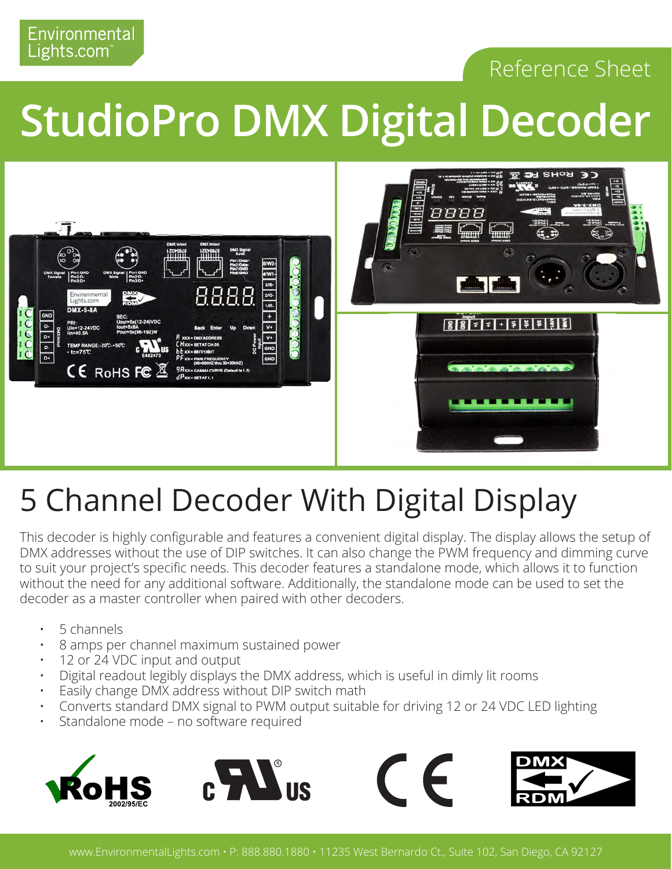

## **StudioPro DMX Digital Decoder**



## 5 Channel Decoder With Digital Display

This decoder is highly configurable and features a convenient digital display. The display allows the setup of DMX addresses without the use of DIP switches. It can also change the PWM frequency and dimming curve to suit your project's specific needs. This decoder features a standalone mode, which allows it to function without the need for any additional software. Additionally, the standalone mode can be used to set the decoder as a master controller when paired with other decoders.

• 5 channels

Environmental Lights.com

- 8 amps per channel maximum sustained power
- 12 or 24 VDC input and output
- Digital readout legibly displays the DMX address, which is useful in dimly lit rooms
- Easily change DMX address without DIP switch math
- Converts standard DMX signal to PWM output suitable for driving 12 or 24 VDC LED lighting
- Standalone mode no software required